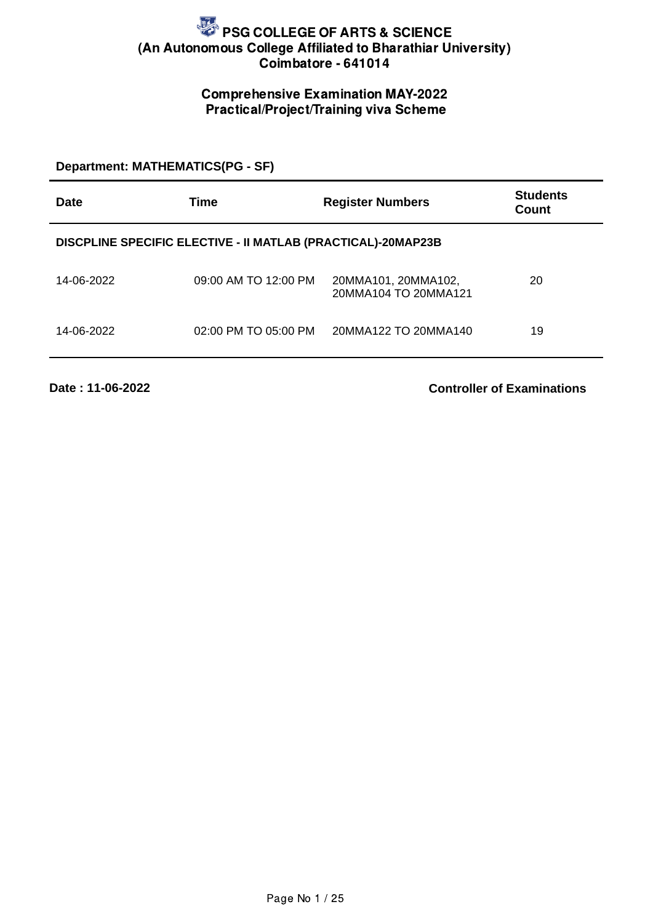## Comprehensive Examination MAY-2022 Practical/Project/Training viva Scheme

#### **Department: MATHEMATICS(PG - SF)**

| Date       | Time                                                         | <b>Register Numbers</b>                     | <b>Students</b><br>Count |
|------------|--------------------------------------------------------------|---------------------------------------------|--------------------------|
|            | DISCPLINE SPECIFIC ELECTIVE - II MATLAB (PRACTICAL)-20MAP23B |                                             |                          |
| 14-06-2022 | 09:00 AM TO 12:00 PM                                         | 20MMA101, 20MMA102,<br>20MMA104 TO 20MMA121 | 20                       |
| 14-06-2022 | $02:00$ PM TO $05:00$ PM                                     | 20MMA122 TO 20MMA140                        | 19                       |

**Date : 11-06-2022**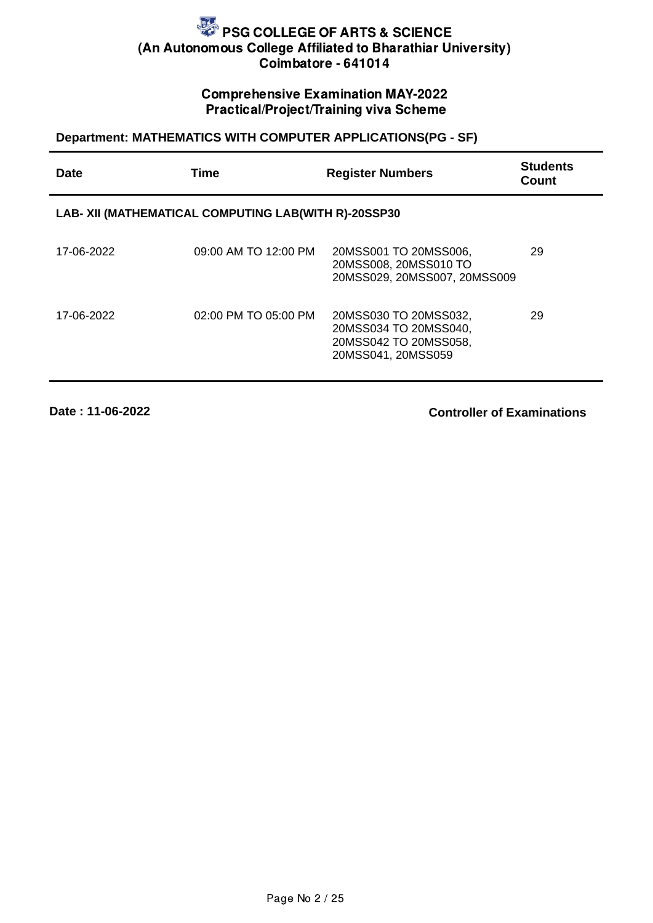## Comprehensive Examination MAY-2022 Practical/Project/Training viva Scheme

## **Department: MATHEMATICS WITH COMPUTER APPLICATIONS(PG - SF)**

| Date       | Time                                                 | <b>Register Numbers</b>                                                                       | <b>Students</b><br>Count |
|------------|------------------------------------------------------|-----------------------------------------------------------------------------------------------|--------------------------|
|            | LAB- XII (MATHEMATICAL COMPUTING LAB(WITH R)-20SSP30 |                                                                                               |                          |
| 17-06-2022 | 09:00 AM TO 12:00 PM                                 | 20MSS001 TO 20MSS006,<br>20MSS008, 20MSS010 TO<br>20MSS029, 20MSS007, 20MSS009                | 29                       |
| 17-06-2022 | 02:00 PM TO 05:00 PM                                 | 20MSS030 TO 20MSS032,<br>20MSS034 TO 20MSS040,<br>20MSS042 TO 20MSS058,<br>20MSS041, 20MSS059 | 29                       |

**Date : 11-06-2022**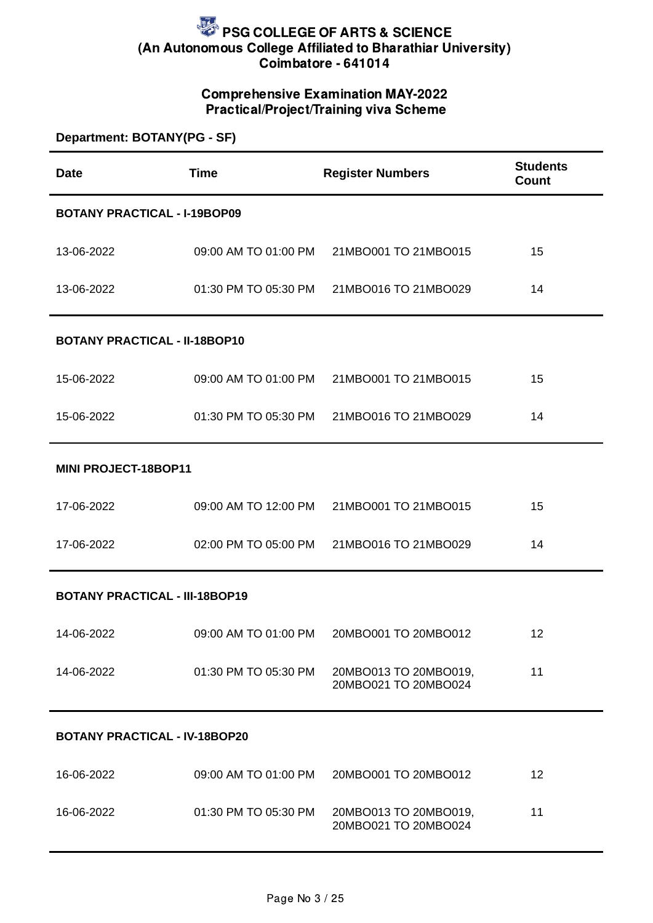## Comprehensive Examination MAY-2022 Practical/Project/Training viva Scheme

| Department: BOTANY(PG - SF)           |                                      |                                               |                                 |  |
|---------------------------------------|--------------------------------------|-----------------------------------------------|---------------------------------|--|
| <b>Date</b>                           | <b>Time</b>                          | <b>Register Numbers</b>                       | <b>Students</b><br><b>Count</b> |  |
| <b>BOTANY PRACTICAL - I-19BOP09</b>   |                                      |                                               |                                 |  |
| 13-06-2022                            | 09:00 AM TO 01:00 PM                 | 21MBO001 TO 21MBO015                          | 15                              |  |
| 13-06-2022                            |                                      | 01:30 PM TO 05:30 PM 21MBO016 TO 21MBO029     | 14                              |  |
| <b>BOTANY PRACTICAL - II-18BOP10</b>  |                                      |                                               |                                 |  |
| 15-06-2022                            | 09:00 AM TO 01:00 PM                 | 21MBO001 TO 21MBO015                          | 15                              |  |
| 15-06-2022                            | 01:30 PM TO 05:30 PM                 | 21MBO016 TO 21MBO029                          | 14                              |  |
| MINI PROJECT-18BOP11                  |                                      |                                               |                                 |  |
| 17-06-2022                            |                                      | 09:00 AM TO 12:00 PM 21MBO001 TO 21MBO015     | 15                              |  |
| 17-06-2022                            |                                      | 02:00 PM TO 05:00 PM 21MBO016 TO 21MBO029     | 14                              |  |
| <b>BOTANY PRACTICAL - III-18BOP19</b> |                                      |                                               |                                 |  |
| 14-06-2022                            | 09:00 AM TO 01:00 PM                 | 20MBO001 TO 20MBO012                          | 12                              |  |
| 14-06-2022                            | 01:30 PM TO 05:30 PM                 | 20MBO013 TO 20MBO019,<br>20MBO021 TO 20MBO024 | 11                              |  |
|                                       | <b>BOTANY PRACTICAL - IV-18BOP20</b> |                                               |                                 |  |
| 16-06-2022                            |                                      | 09:00 AM TO 01:00 PM 20MBO001 TO 20MBO012     | 12                              |  |

20MBO021 TO 20MBO024

11

16-06-2022 01:30 PM TO 05:30 PM 20MBO013 TO 20MBO019,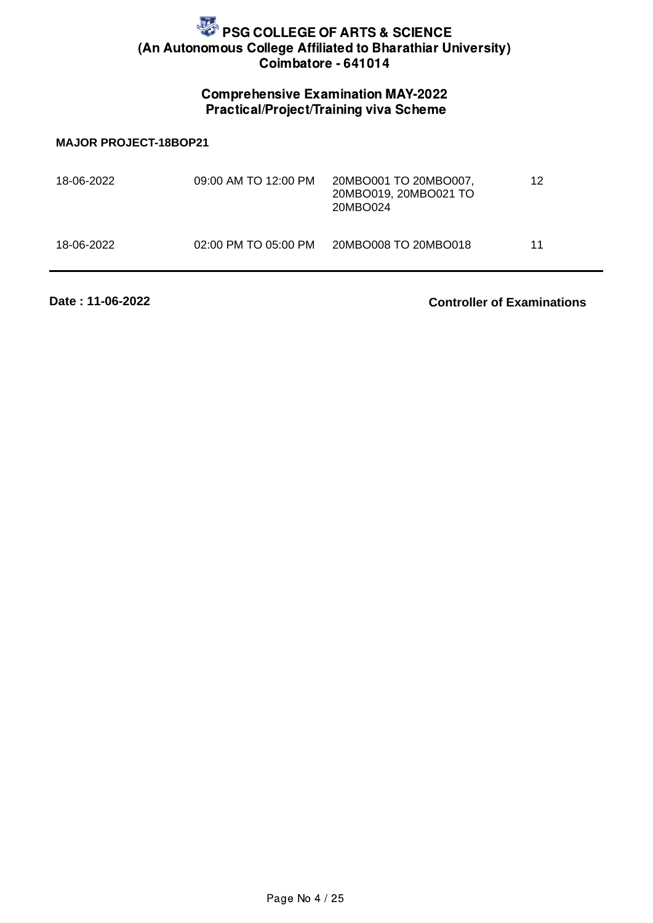## Comprehensive Examination MAY-2022 Practical/Project/Training viva Scheme

#### **MAJOR PROJECT-18BOP21**

| 18-06-2022 | 09:00 AM TO 12:00 PM | 20MBO001 TO 20MBO007,<br>20MBO019, 20MBO021 TO<br>20MBO024 | 12 |
|------------|----------------------|------------------------------------------------------------|----|
| 18-06-2022 | 02:00 PM TO 05:00 PM | 20MBO008 TO 20MBO018                                       | 11 |

**Date : 11-06-2022**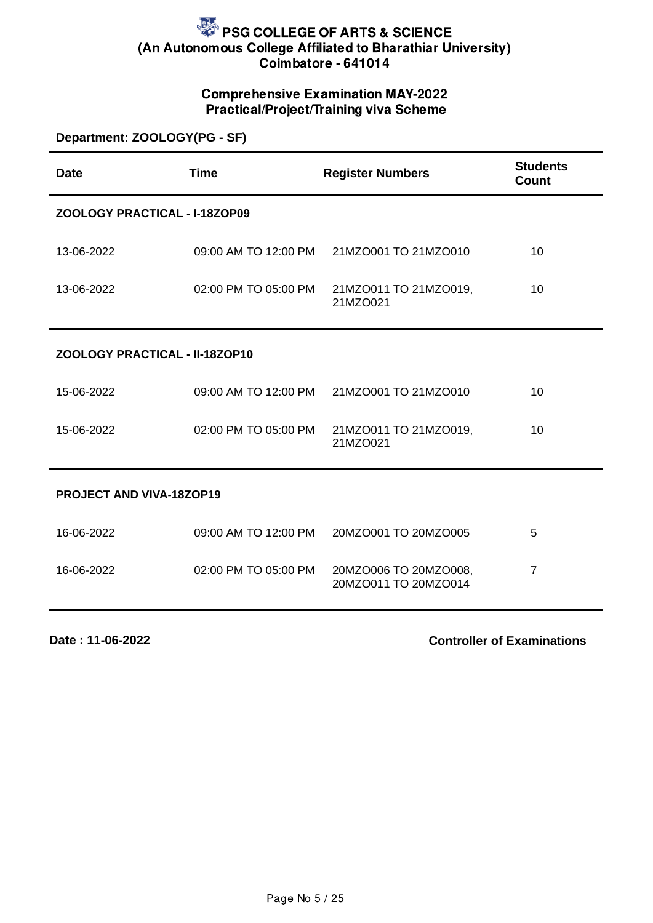## Comprehensive Examination MAY-2022 Practical/Project/Training viva Scheme

| Department: ZOOLOGY(PG - SF)    |                      |                                               |                                 |
|---------------------------------|----------------------|-----------------------------------------------|---------------------------------|
| <b>Date</b>                     | <b>Time</b>          | <b>Register Numbers</b>                       | <b>Students</b><br><b>Count</b> |
| ZOOLOGY PRACTICAL - I-18ZOP09   |                      |                                               |                                 |
| 13-06-2022                      | 09:00 AM TO 12:00 PM | 21MZO001 TO 21MZO010                          | 10                              |
| 13-06-2022                      | 02:00 PM TO 05:00 PM | 21MZO011 TO 21MZO019,<br>21MZO021             | 10                              |
| ZOOLOGY PRACTICAL - II-18ZOP10  |                      |                                               |                                 |
| 15-06-2022                      | 09:00 AM TO 12:00 PM | 21MZO001 TO 21MZO010                          | 10                              |
| 15-06-2022                      | 02:00 PM TO 05:00 PM | 21MZO011 TO 21MZO019,<br>21MZO021             | 10                              |
| <b>PROJECT AND VIVA-18ZOP19</b> |                      |                                               |                                 |
| 16-06-2022                      | 09:00 AM TO 12:00 PM | 20MZO001 TO 20MZO005                          | 5                               |
| 16-06-2022                      | 02:00 PM TO 05:00 PM | 20MZO006 TO 20MZO008,<br>20MZO011 TO 20MZO014 | $\overline{7}$                  |

**Date : 11-06-2022**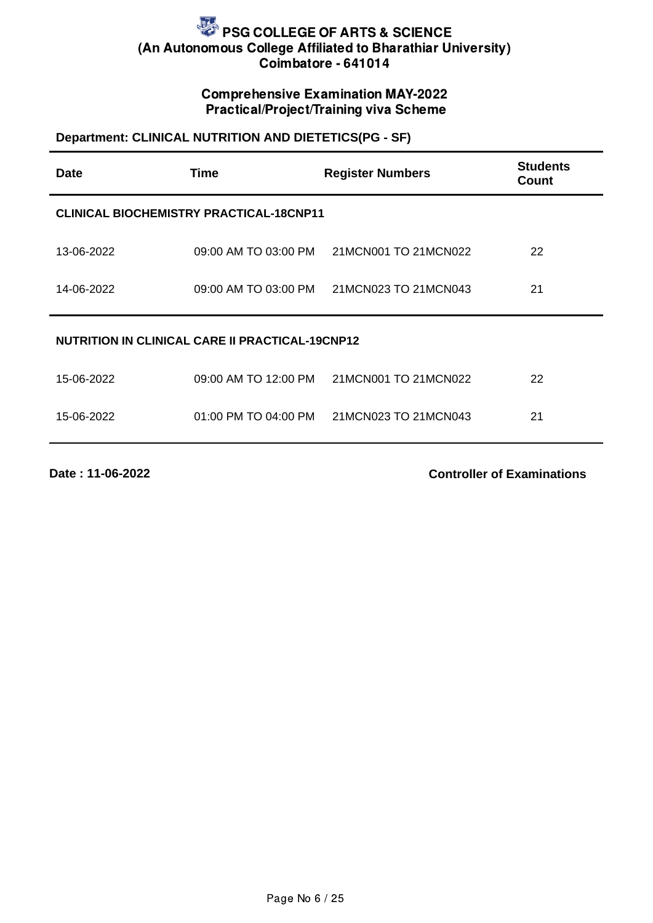## Comprehensive Examination MAY-2022 Practical/Project/Training viva Scheme

## **Department: CLINICAL NUTRITION AND DIETETICS(PG - SF)**

| Date                                                   | <b>Time</b>                                    | <b>Register Numbers</b> | <b>Students</b><br><b>Count</b> |
|--------------------------------------------------------|------------------------------------------------|-------------------------|---------------------------------|
|                                                        | <b>CLINICAL BIOCHEMISTRY PRACTICAL-18CNP11</b> |                         |                                 |
| 13-06-2022                                             | 09:00 AM TO 03:00 PM                           | 21MCN001 TO 21MCN022    | 22                              |
| 14-06-2022                                             | 09:00 AM TO 03:00 PM                           | 21MCN023 TO 21MCN043    | 21                              |
| <b>NUTRITION IN CLINICAL CARE II PRACTICAL-19CNP12</b> |                                                |                         |                                 |
| 15-06-2022                                             | 09:00 AM TO 12:00 PM                           | 21MCN001 TO 21MCN022    | 22                              |
| 15-06-2022                                             | 01:00 PM TO 04:00 PM                           | 21MCN023 TO 21MCN043    | 21                              |

**Date : 11-06-2022**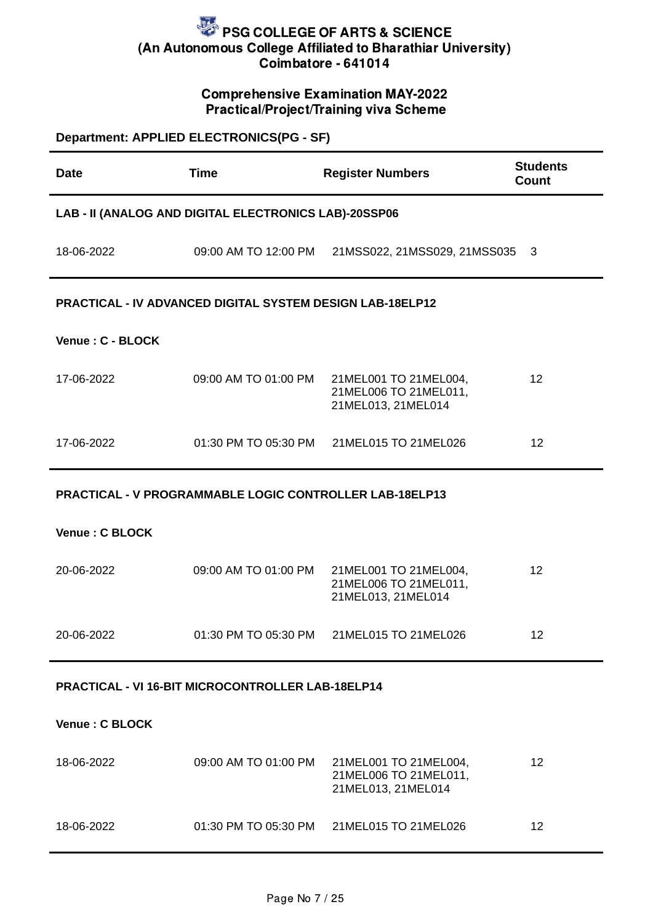### Comprehensive Examination MAY-2022 Practical/Project/Training viva Scheme

| Department: APPLIED ELECTRONICS(PG - SF)                 |                                                                  |                                                                      |                          |  |
|----------------------------------------------------------|------------------------------------------------------------------|----------------------------------------------------------------------|--------------------------|--|
| <b>Date</b>                                              | <b>Time</b>                                                      | <b>Register Numbers</b>                                              | <b>Students</b><br>Count |  |
|                                                          | LAB - II (ANALOG AND DIGITAL ELECTRONICS LAB)-20SSP06            |                                                                      |                          |  |
| 18-06-2022                                               |                                                                  | 09:00 AM TO 12:00 PM 21MSS022, 21MSS029, 21MSS035                    | 3                        |  |
|                                                          | <b>PRACTICAL - IV ADVANCED DIGITAL SYSTEM DESIGN LAB-18ELP12</b> |                                                                      |                          |  |
| Venue: C - BLOCK                                         |                                                                  |                                                                      |                          |  |
| 17-06-2022                                               | 09:00 AM TO 01:00 PM                                             | 21MEL001 TO 21MEL004,<br>21MEL006 TO 21MEL011,<br>21MEL013, 21MEL014 | 12                       |  |
| 17-06-2022                                               | 01:30 PM TO 05:30 PM                                             | 21MEL015 TO 21MEL026                                                 | 12                       |  |
|                                                          | PRACTICAL - V PROGRAMMABLE LOGIC CONTROLLER LAB-18ELP13          |                                                                      |                          |  |
| Venue: C BLOCK                                           |                                                                  |                                                                      |                          |  |
| 20-06-2022                                               | 09:00 AM TO 01:00 PM                                             | 21MEL001 TO 21MEL004,<br>21MEL006 TO 21MEL011,<br>21MEL013, 21MEL014 | 12                       |  |
| 20-06-2022                                               |                                                                  | 01:30 PM TO 05:30 PM 21MEL015 TO 21MEL026                            | 12                       |  |
| <b>PRACTICAL - VI 16-BIT MICROCONTROLLER LAB-18ELP14</b> |                                                                  |                                                                      |                          |  |
| Venue: C BLOCK                                           |                                                                  |                                                                      |                          |  |
| 18-06-2022                                               | 09:00 AM TO 01:00 PM                                             | 21MEL001 TO 21MEL004,<br>21MEL006 TO 21MEL011,<br>21MEL013, 21MEL014 | 12                       |  |
| 18-06-2022                                               | 01:30 PM TO 05:30 PM                                             | 21MEL015 TO 21MEL026                                                 | 12                       |  |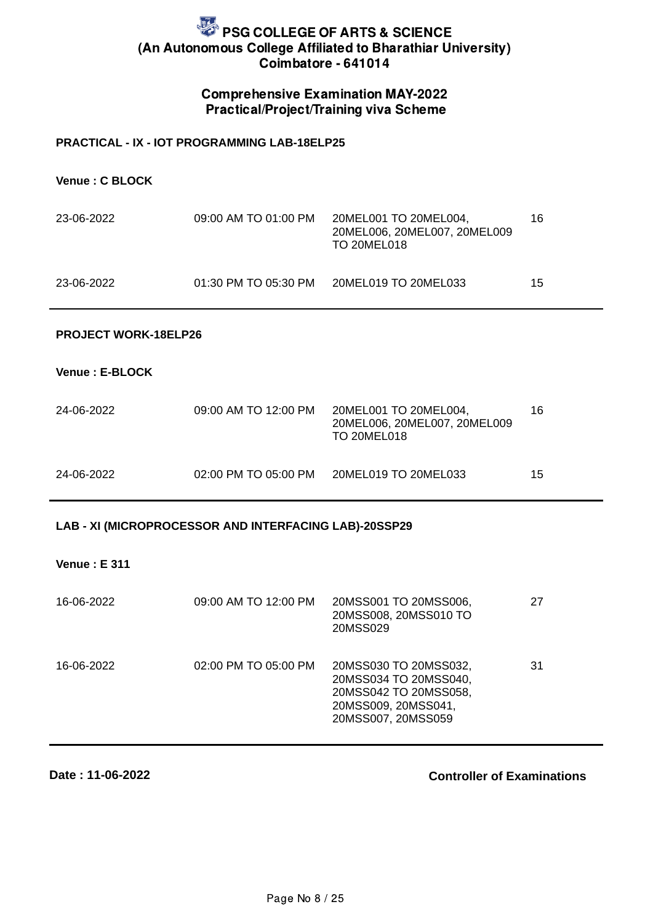### Comprehensive Examination MAY-2022 Practical/Project/Training viva Scheme

#### **PRACTICAL - IX - IOT PROGRAMMING LAB-18ELP25**

**Venue : C BLOCK**

| 23-06-2022 | 09:00 AM TO 01:00 PM | 20MEL001 TO 20MEL004.<br>20MEL006, 20MEL007, 20MEL009<br><b>TO 20MEL018</b> | 16 |
|------------|----------------------|-----------------------------------------------------------------------------|----|
| 23-06-2022 | 01:30 PM TO 05:30 PM | 20MEL019 TO 20MEL033                                                        | 15 |

#### **PROJECT WORK-18ELP26**

**Venue : E-BLOCK**

| 24-06-2022 | 09:00 AM TO 12:00 PM | 20MEL001 TO 20MEL004.<br>20MEL006, 20MEL007, 20MEL009<br>TO 20MEL018 | 16 |
|------------|----------------------|----------------------------------------------------------------------|----|
| 24-06-2022 | 02:00 PM TO 05:00 PM | 20MEL019 TO 20MEL033                                                 | 15 |

#### **LAB - XI (MICROPROCESSOR AND INTERFACING LAB)-20SSP29**

**Venue : E 311**

| 16-06-2022 | 09:00 AM TO 12:00 PM | 20MSS001 TO 20MSS006,<br>20MSS008, 20MSS010 TO<br>20MSS029                                                           | 27 |
|------------|----------------------|----------------------------------------------------------------------------------------------------------------------|----|
| 16-06-2022 | 02:00 PM TO 05:00 PM | 20MSS030 TO 20MSS032,<br>20MSS034 TO 20MSS040,<br>20MSS042 TO 20MSS058,<br>20MSS009, 20MSS041,<br>20MSS007, 20MSS059 | 31 |

**Date : 11-06-2022**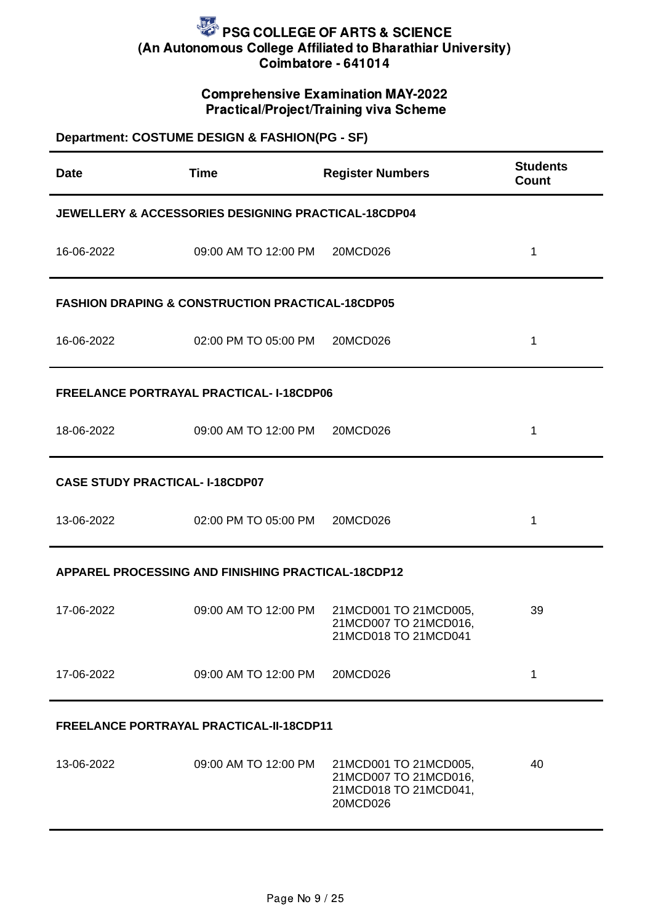### Comprehensive Examination MAY-2022 Practical/Project/Training viva Scheme

# **Department: COSTUME DESIGN & FASHION(PG - SF) Date Time Register Numbers Students Count JEWELLERY & ACCESSORIES DESIGNING PRACTICAL-18CDP04** 16-06-2022 09:00 AM TO 12:00 PM 20MCD026 1 **FASHION DRAPING & CONSTRUCTION PRACTICAL-18CDP05** 16-06-2022 02:00 PM TO 05:00 PM 20MCD026 1 **FREELANCE PORTRAYAL PRACTICAL- I-18CDP06** 18-06-2022 09:00 AM TO 12:00 PM 20MCD026 1 **CASE STUDY PRACTICAL- I-18CDP07** 13-06-2022 02:00 PM TO 05:00 PM 20MCD026 1 **APPAREL PROCESSING AND FINISHING PRACTICAL-18CDP12** 17-06-2022 09:00 AM TO 12:00 PM 21MCD001 TO 21MCD005, 21MCD007 TO 21MCD016, 21MCD018 TO 21MCD041 39 17-06-2022 09:00 AM TO 12:00 PM 20MCD026 1 **FREELANCE PORTRAYAL PRACTICAL-II-18CDP11** 13-06-2022 09:00 AM TO 12:00 PM 21MCD001 TO 21MCD005,  $40$

21MCD007 TO 21MCD016, 21MCD018 TO 21MCD041,

20MCD026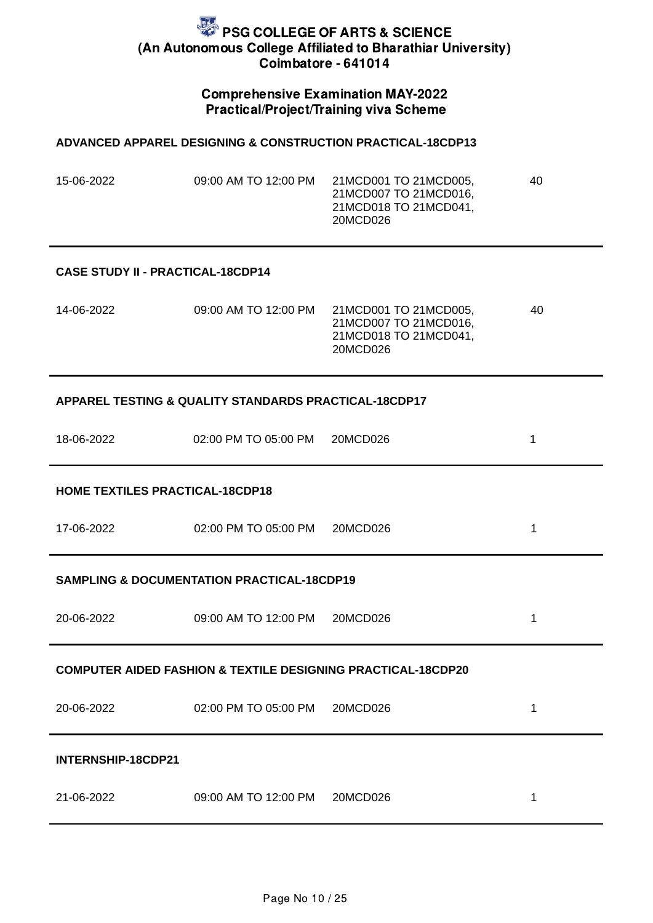### Comprehensive Examination MAY-2022 Practical/Project/Training viva Scheme

#### **ADVANCED APPAREL DESIGNING & CONSTRUCTION PRACTICAL-18CDP13**

| 15-06-2022 | 09:00 AM TO 12:00 PM | 21MCD001 TO 21MCD005, | 40 |
|------------|----------------------|-----------------------|----|
|            |                      | 21MCD007 TO 21MCD016. |    |
|            |                      | 21MCD018 TO 21MCD041, |    |
|            |                      | 20MCD026              |    |

#### **CASE STUDY II - PRACTICAL-18CDP14**

| 14-06-2022<br>09:00 AM TO 12:00 PM | 21MCD001 TO 21MCD005.<br>21MCD007 TO 21MCD016.<br>21MCD018 TO 21MCD041.<br>20MCD026 | 40 |
|------------------------------------|-------------------------------------------------------------------------------------|----|
|------------------------------------|-------------------------------------------------------------------------------------|----|

#### **APPAREL TESTING & QUALITY STANDARDS PRACTICAL-18CDP17**

| 18-06-2022 | 02:00 PM TO 05:00 PM | 20MCD026 |  |
|------------|----------------------|----------|--|
|------------|----------------------|----------|--|

#### **HOME TEXTILES PRACTICAL-18CDP18**

| 17-06-2022 | 02:00 PM TO 05:00 PM | 20MCD026 |  |
|------------|----------------------|----------|--|
|            |                      |          |  |

#### **SAMPLING & DOCUMENTATION PRACTICAL-18CDP19**

| 20-06-2022         | 09:00 AM TO 12:00 PM | 20MCD026                                                                |  |
|--------------------|----------------------|-------------------------------------------------------------------------|--|
|                    |                      | <b>COMPUTER AIDED FASHION &amp; TEXTILE DESIGNING PRACTICAL-18CDP20</b> |  |
| 20-06-2022         | 02:00 PM TO 05:00 PM | 20MCD026                                                                |  |
| INTERNSHIP-18CDP21 |                      |                                                                         |  |
| 21-06-2022         | 09:00 AM TO 12:00 PM | 20MCD026                                                                |  |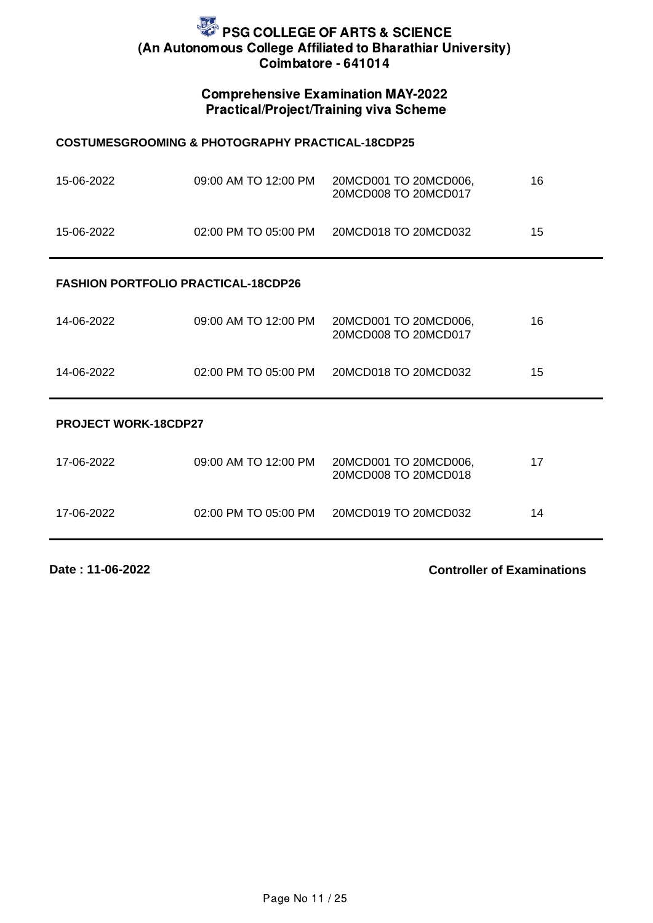### Comprehensive Examination MAY-2022 Practical/Project/Training viva Scheme

#### **COSTUMESGROOMING & PHOTOGRAPHY PRACTICAL-18CDP25**

| 15-06-2022 | 09:00 AM TO 12:00 PM | 20MCD001 TO 20MCD006.<br>20MCD008 TO 20MCD017 | 16 |
|------------|----------------------|-----------------------------------------------|----|
| 15-06-2022 | 02:00 PM TO 05:00 PM | 20MCD018 TO 20MCD032                          | 15 |

#### **FASHION PORTFOLIO PRACTICAL-18CDP26**

|            |                      | 20MCD008 TO 20MCD017 |    |
|------------|----------------------|----------------------|----|
| 14-06-2022 | 02:00 PM TO 05:00 PM | 20MCD018 TO 20MCD032 | 15 |

#### **PROJECT WORK-18CDP27**

| 17-06-2022 | 09:00 AM TO 12:00 PM | 20MCD001 TO 20MCD006,<br>20MCD008 TO 20MCD018 | 17 |
|------------|----------------------|-----------------------------------------------|----|
| 17-06-2022 | 02:00 PM TO 05:00 PM | 20MCD019 TO 20MCD032                          | 14 |

**Date : 11-06-2022**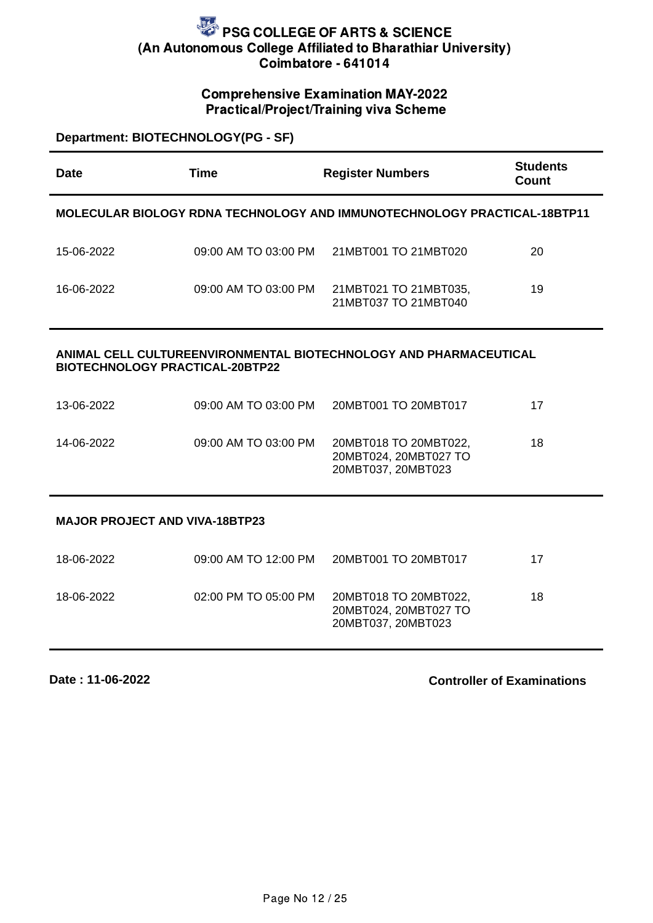#### Comprehensive Examination MAY-2022 Practical/Project/Training viva Scheme

**Department: BIOTECHNOLOGY(PG - SF)**

| Date       | Time                 | <b>Register Numbers</b>                                                  | <b>Students</b><br>Count |
|------------|----------------------|--------------------------------------------------------------------------|--------------------------|
|            |                      | MOLECULAR BIOLOGY RDNA TECHNOLOGY AND IMMUNOTECHNOLOGY PRACTICAL-18BTP11 |                          |
| 15-06-2022 | 09:00 AM TO 03:00 PM | 21MBT001 TO 21MBT020                                                     | 20                       |
| 16-06-2022 | 09:00 AM TO 03:00 PM | 21MBT021 TO 21MBT035,<br>21MBT037 TO 21MBT040                            | 19                       |
|            |                      | AU TUBEEN (IBANNENEAL BIATEAUNAL AAV AND BUABHAAEUTIAAL                  |                          |

#### **ANIMAL CELL CULTUREENVIRONMENTAL BIOTECHNOLOGY AND PHARMACEUTICAL BIOTECHNOLOGY PRACTICAL-20BTP22**

| 13-06-2022 | 09:00 AM TO 03:00 PM | 20MBT001 TO 20MBT017                                                 | 17 |
|------------|----------------------|----------------------------------------------------------------------|----|
| 14-06-2022 | 09:00 AM TO 03:00 PM | 20MBT018 TO 20MBT022,<br>20MBT024, 20MBT027 TO<br>20MBT037, 20MBT023 | 18 |

**MAJOR PROJECT AND VIVA-18BTP23**

| 18-06-2022 | 09:00 AM TO 12:00 PM | 20MBT001 TO 20MBT017                                                 | 17 |
|------------|----------------------|----------------------------------------------------------------------|----|
| 18-06-2022 | 02:00 PM TO 05:00 PM | 20MBT018 TO 20MBT022,<br>20MBT024, 20MBT027 TO<br>20MBT037, 20MBT023 | 18 |

**Date : 11-06-2022**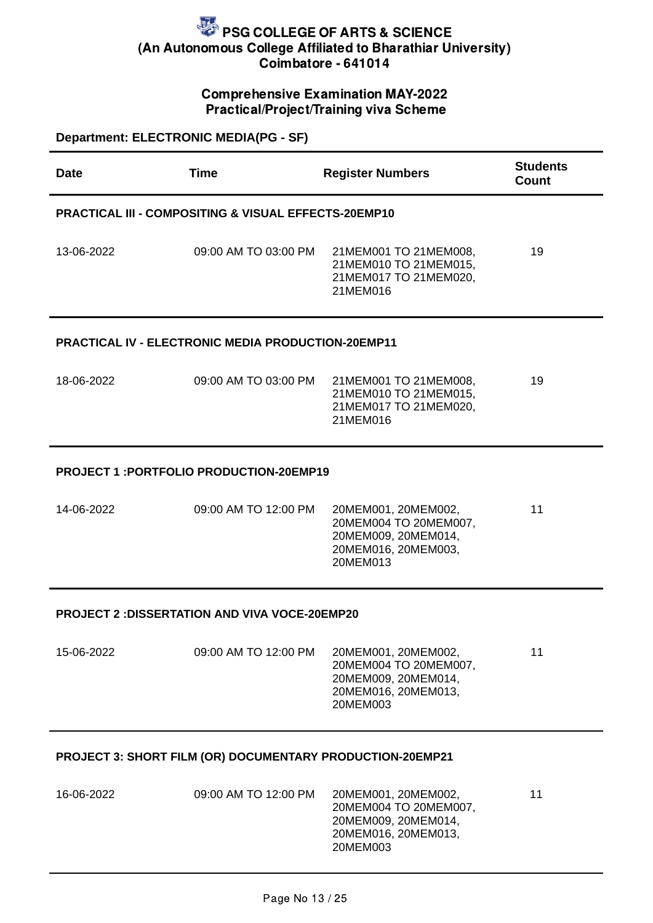## Comprehensive Examination MAY-2022 Practical/Project/Training viva Scheme

| <b>Department: ELECTRONIC MEDIA(PG - SF)</b>         |                                                                 |                                                                                                        |                                 |  |
|------------------------------------------------------|-----------------------------------------------------------------|--------------------------------------------------------------------------------------------------------|---------------------------------|--|
| Date                                                 | <b>Time</b>                                                     | <b>Register Numbers</b>                                                                                | <b>Students</b><br><b>Count</b> |  |
|                                                      | <b>PRACTICAL III - COMPOSITING &amp; VISUAL EFFECTS-20EMP10</b> |                                                                                                        |                                 |  |
| 13-06-2022                                           | 09:00 AM TO 03:00 PM                                            | 21MEM001 TO 21MEM008,<br>21MEM010 TO 21MEM015,<br>21MEM017 TO 21MEM020,<br>21MEM016                    | 19                              |  |
|                                                      | <b>PRACTICAL IV - ELECTRONIC MEDIA PRODUCTION-20EMP11</b>       |                                                                                                        |                                 |  |
| 18-06-2022                                           | 09:00 AM TO 03:00 PM                                            | 21MEM001 TO 21MEM008,<br>21MEM010 TO 21MEM015,<br>21MEM017 TO 21MEM020,<br>21MEM016                    | 19                              |  |
| <b>PROJECT 1: PORTFOLIO PRODUCTION-20EMP19</b>       |                                                                 |                                                                                                        |                                 |  |
| 14-06-2022                                           | 09:00 AM TO 12:00 PM                                            | 20MEM001, 20MEM002,<br>20MEM004 TO 20MEM007,<br>20MEM009, 20MEM014,<br>20MEM016, 20MEM003,<br>20MEM013 | 11                              |  |
| <b>PROJECT 2: DISSERTATION AND VIVA VOCE-20EMP20</b> |                                                                 |                                                                                                        |                                 |  |
| 15-06-2022                                           | 09:00 AM TO 12:00 PM                                            | 20MEM001, 20MEM002,<br>20MEM004 TO 20MEM007,<br>20MEM009, 20MEM014,<br>20MEM016, 20MEM013,<br>20MEM003 | 11                              |  |
|                                                      | PROJECT 3: SHORT FILM (OR) DOCUMENTARY PRODUCTION-20EMP21       |                                                                                                        |                                 |  |
| 16-06-2022                                           | 09:00 AM TO 12:00 PM                                            | 20MEM001, 20MEM002,<br>20MEM004 TO 20MEM007,<br>20MEM009, 20MEM014,                                    | 11                              |  |

20MEM016, 20MEM013,

20MEM003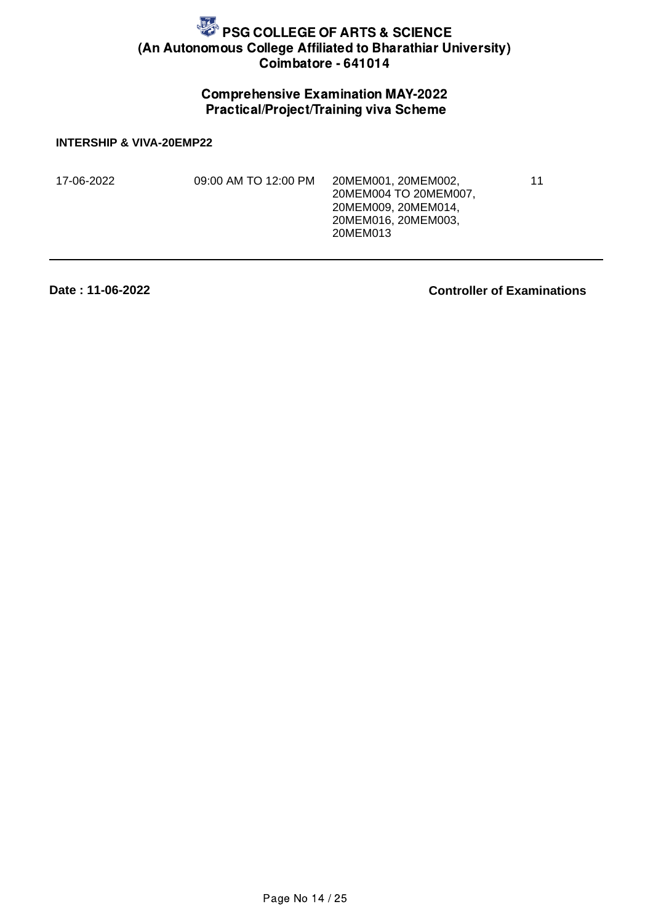## Comprehensive Examination MAY-2022 Practical/Project/Training viva Scheme

**INTERSHIP & VIVA-20EMP22**

| 17-06-2022 | 09:00 AM TO 12:00 PM | 20MEM001.20MEM002.<br>20MEM004 TO 20MEM007.<br>20MEM009, 20MEM014,<br>20MEM016, 20MEM003.<br>20MEM013 | 11 |
|------------|----------------------|-------------------------------------------------------------------------------------------------------|----|
|            |                      |                                                                                                       |    |

**Date : 11-06-2022**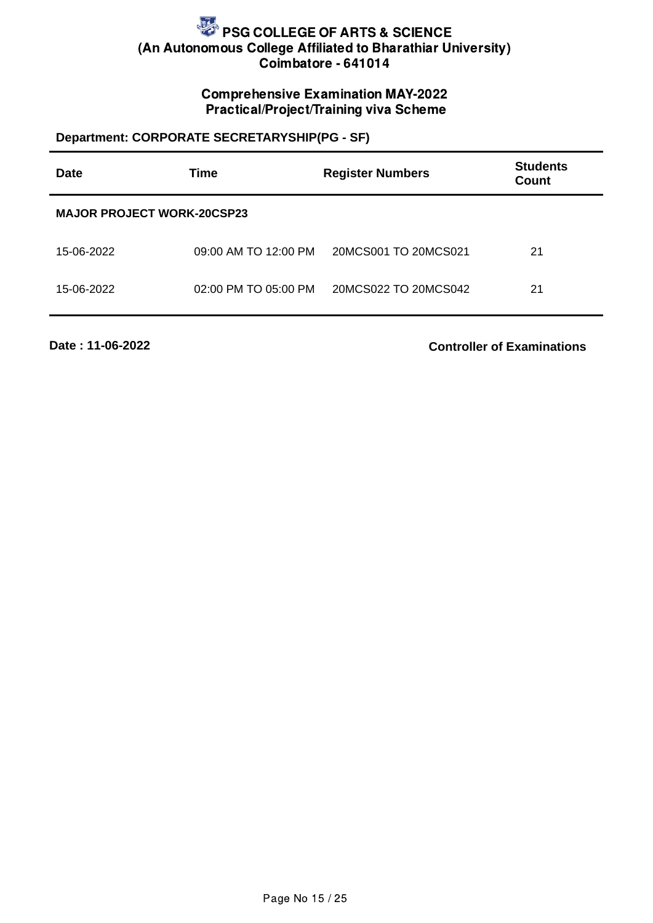## Comprehensive Examination MAY-2022 Practical/Project/Training viva Scheme

## **Department: CORPORATE SECRETARYSHIP(PG - SF)**

| <b>Date</b>                       | <b>Time</b>          | <b>Register Numbers</b> | <b>Students</b><br>Count |
|-----------------------------------|----------------------|-------------------------|--------------------------|
| <b>MAJOR PROJECT WORK-20CSP23</b> |                      |                         |                          |
| 15-06-2022                        | 09:00 AM TO 12:00 PM | 20MCS001 TO 20MCS021    | 21                       |
| 15-06-2022                        | 02:00 PM TO 05:00 PM | 20MCS022 TO 20MCS042    | 21                       |

**Date : 11-06-2022**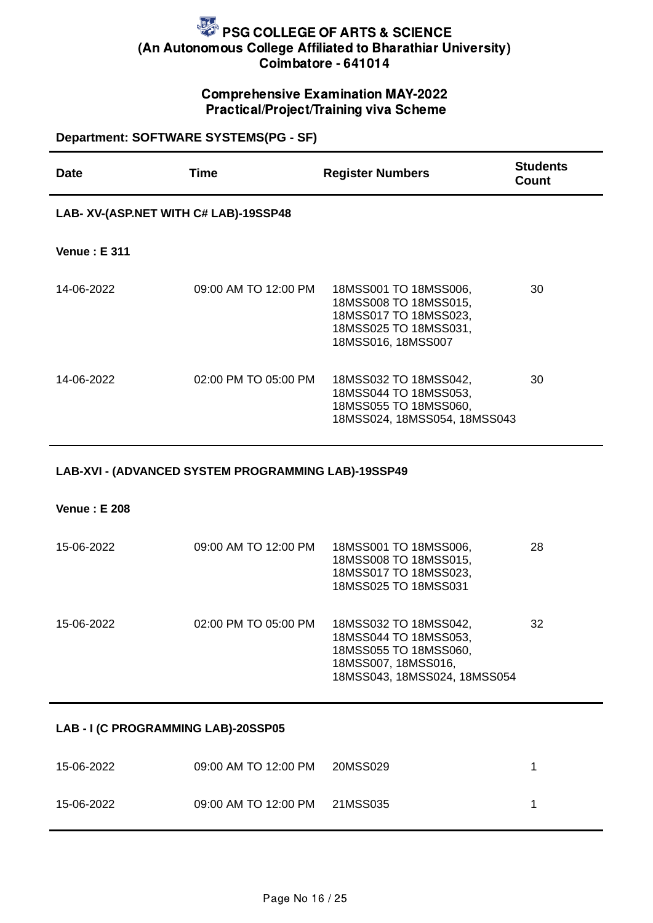## Comprehensive Examination MAY-2022 Practical/Project/Training viva Scheme

| Department: SOFTWARE SYSTEMS(PG - SF)               |                      |                                                                                                                                |                          |  |  |
|-----------------------------------------------------|----------------------|--------------------------------------------------------------------------------------------------------------------------------|--------------------------|--|--|
| <b>Date</b>                                         | <b>Time</b>          | <b>Register Numbers</b>                                                                                                        | <b>Students</b><br>Count |  |  |
| LAB- XV-(ASP.NET WITH C# LAB)-19SSP48               |                      |                                                                                                                                |                          |  |  |
| <b>Venue: E 311</b>                                 |                      |                                                                                                                                |                          |  |  |
| 14-06-2022                                          | 09:00 AM TO 12:00 PM | 18MSS001 TO 18MSS006,<br>18MSS008 TO 18MSS015,<br>18MSS017 TO 18MSS023,<br>18MSS025 TO 18MSS031,<br>18MSS016, 18MSS007         | 30                       |  |  |
| 14-06-2022                                          | 02:00 PM TO 05:00 PM | 18MSS032 TO 18MSS042,<br>18MSS044 TO 18MSS053,<br>18MSS055 TO 18MSS060,<br>18MSS024, 18MSS054, 18MSS043                        | 30                       |  |  |
| LAB-XVI - (ADVANCED SYSTEM PROGRAMMING LAB)-19SSP49 |                      |                                                                                                                                |                          |  |  |
| <b>Venue: E 208</b>                                 |                      |                                                                                                                                |                          |  |  |
| 15-06-2022                                          | 09:00 AM TO 12:00 PM | 18MSS001 TO 18MSS006,<br>18MSS008 TO 18MSS015,<br>18MSS017 TO 18MSS023,<br>18MSS025 TO 18MSS031                                | 28                       |  |  |
| 15-06-2022                                          | 02:00 PM TO 05:00 PM | 18MSS032 TO 18MSS042,<br>18MSS044 TO 18MSS053,<br>18MSS055 TO 18MSS060,<br>18MSS007, 18MSS016,<br>18MSS043, 18MSS024, 18MSS054 | 32                       |  |  |

#### **LAB - I (C PROGRAMMING LAB)-20SSP05**

| 15-06-2022 | 09:00 AM TO 12:00 PM 20MSS029 |  |
|------------|-------------------------------|--|
| 15-06-2022 | 09:00 AM TO 12:00 PM 21MSS035 |  |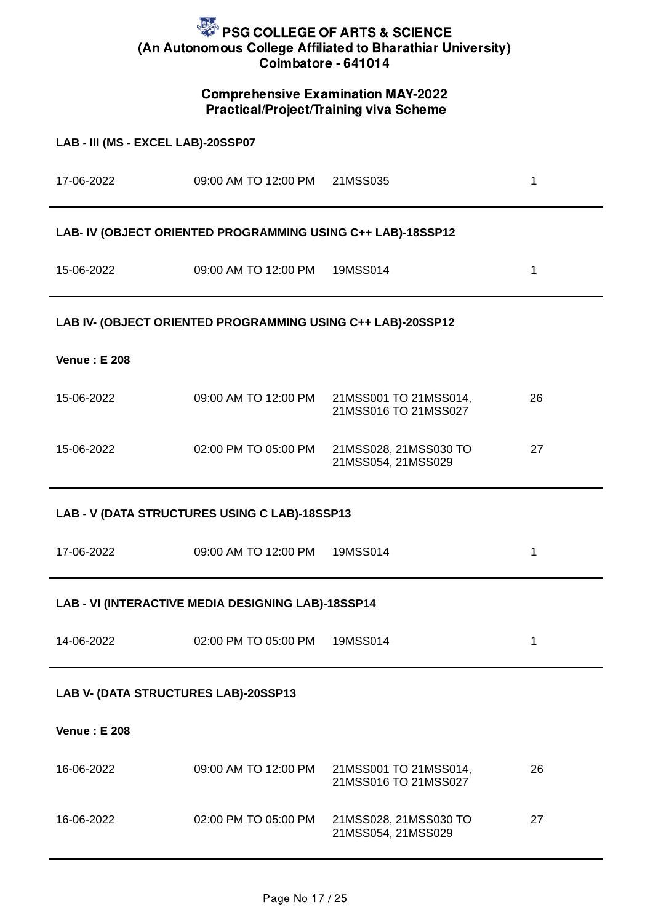## Comprehensive Examination MAY-2022 Practical/Project/Training viva Scheme

| LAB - III (MS - EXCEL LAB)-20SSP07            |                                                             |                                               |              |  |
|-----------------------------------------------|-------------------------------------------------------------|-----------------------------------------------|--------------|--|
|                                               | 17-06-2022 09:00 AM TO 12:00 PM 21MSS035                    |                                               | $\mathbf{1}$ |  |
|                                               | LAB- IV (OBJECT ORIENTED PROGRAMMING USING C++ LAB)-18SSP12 |                                               |              |  |
|                                               | 15-06-2022 09:00 AM TO 12:00 PM 19MSS014                    |                                               | $\mathbf{1}$ |  |
|                                               | LAB IV- (OBJECT ORIENTED PROGRAMMING USING C++ LAB)-20SSP12 |                                               |              |  |
| <b>Venue: E 208</b>                           |                                                             |                                               |              |  |
| 15-06-2022                                    | 09:00 AM TO 12:00 PM                                        | 21MSS001 TO 21MSS014,<br>21MSS016 TO 21MSS027 | 26           |  |
| 15-06-2022                                    | 02:00 PM TO 05:00 PM                                        | 21MSS028, 21MSS030 TO<br>21MSS054, 21MSS029   | 27           |  |
| LAB - V (DATA STRUCTURES USING C LAB)-18SSP13 |                                                             |                                               |              |  |
|                                               |                                                             |                                               |              |  |
| 17-06-2022                                    | 09:00 AM TO 12:00 PM                                        | 19MSS014                                      | $\mathbf{1}$ |  |
|                                               | LAB - VI (INTERACTIVE MEDIA DESIGNING LAB)-18SSP14          |                                               |              |  |
| 14-06-2022                                    | 02:00 PM TO 05:00 PM                                        | 19MSS014                                      | $\mathbf{1}$ |  |
| LAB V- (DATA STRUCTURES LAB)-20SSP13          |                                                             |                                               |              |  |
| <b>Venue: E 208</b>                           |                                                             |                                               |              |  |
| 16-06-2022                                    | 09:00 AM TO 12:00 PM                                        | 21MSS001 TO 21MSS014,<br>21MSS016 TO 21MSS027 | 26           |  |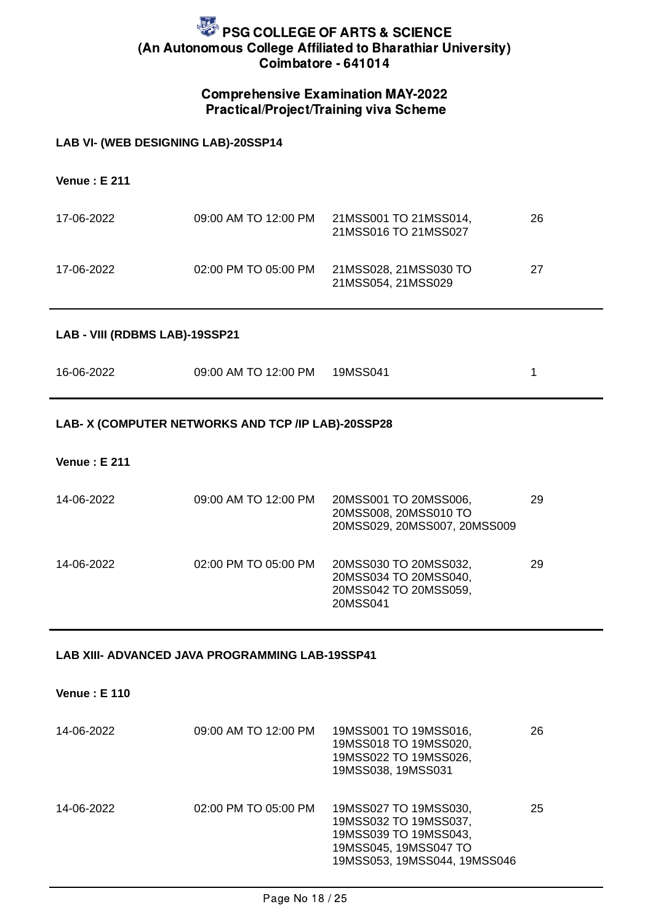## Comprehensive Examination MAY-2022 Practical/Project/Training viva Scheme

#### **LAB VI- (WEB DESIGNING LAB)-20SSP14**

**Venue : E 211**

| 17-06-2022 | 09:00 AM TO 12:00 PM | 21MSS001 TO 21MSS014,<br>21MSS016 TO 21MSS027 | 26 |
|------------|----------------------|-----------------------------------------------|----|
| 17-06-2022 | 02:00 PM TO 05:00 PM | 21MSS028, 21MSS030 TO<br>21MSS054.21MSS029    | 27 |

#### **LAB - VIII (RDBMS LAB)-19SSP21**

| 16-06-2022 | 09:00 AM TO 12:00 PM   19MSS041 |  |
|------------|---------------------------------|--|
|            |                                 |  |

#### **LAB- X (COMPUTER NETWORKS AND TCP /IP LAB)-20SSP28**

#### **Venue : E 211**

| 14-06-2022 | 09:00 AM TO 12:00 PM | 20MSS001 TO 20MSS006,<br>20MSS008, 20MSS010 TO<br>20MSS029, 20MSS007, 20MSS009      | 29 |
|------------|----------------------|-------------------------------------------------------------------------------------|----|
| 14-06-2022 | 02:00 PM TO 05:00 PM | 20MSS030 TO 20MSS032,<br>20MSS034 TO 20MSS040,<br>20MSS042 TO 20MSS059,<br>20MSS041 | 29 |

#### **LAB XIII- ADVANCED JAVA PROGRAMMING LAB-19SSP41**

**Venue : E 110**

| 14-06-2022 | 09:00 AM TO 12:00 PM | 19MSS001 TO 19MSS016,<br>19MSS018 TO 19MSS020,<br>19MSS022 TO 19MSS026,<br>19MSS038, 19MSS031                                    | 26 |
|------------|----------------------|----------------------------------------------------------------------------------------------------------------------------------|----|
| 14-06-2022 | 02:00 PM TO 05:00 PM | 19MSS027 TO 19MSS030,<br>19MSS032 TO 19MSS037,<br>19MSS039 TO 19MSS043,<br>19MSS045, 19MSS047 TO<br>19MSS053, 19MSS044, 19MSS046 | 25 |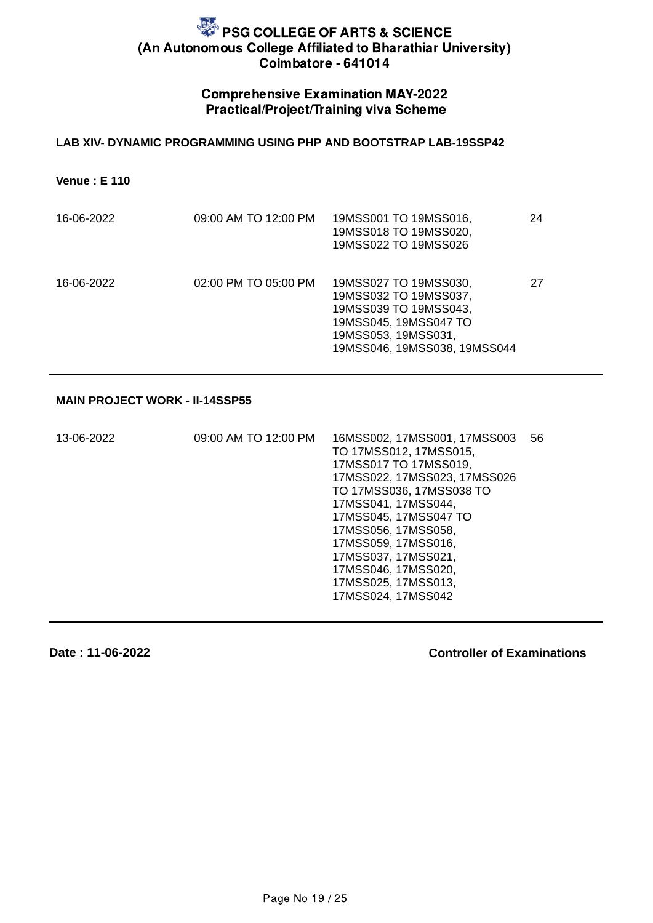#### Comprehensive Examination MAY-2022 Practical/Project/Training viva Scheme

#### **LAB XIV- DYNAMIC PROGRAMMING USING PHP AND BOOTSTRAP LAB-19SSP42**

**Venue : E 110**

| 16-06-2022 | 09:00 AM TO 12:00 PM | 19MSS001 TO 19MSS016,<br>19MSS018 TO 19MSS020,<br>19MSS022 TO 19MSS026                                                                                  | 24 |
|------------|----------------------|---------------------------------------------------------------------------------------------------------------------------------------------------------|----|
| 16-06-2022 | 02:00 PM TO 05:00 PM | 19MSS027 TO 19MSS030,<br>19MSS032 TO 19MSS037,<br>19MSS039 TO 19MSS043,<br>19MSS045, 19MSS047 TO<br>19MSS053, 19MSS031,<br>19MSS046, 19MSS038, 19MSS044 | 27 |

#### **MAIN PROJECT WORK - II-14SSP55**

| 13-06-2022 | 09:00 AM TO 12:00 PM | 16MSS002, 17MSS001, 17MSS003 | 56 |
|------------|----------------------|------------------------------|----|
|            |                      | TO 17MSS012, 17MSS015,       |    |
|            |                      | 17MSS017 TO 17MSS019,        |    |
|            |                      | 17MSS022, 17MSS023, 17MSS026 |    |
|            |                      | TO 17MSS036, 17MSS038 TO     |    |
|            |                      | 17MSS041, 17MSS044,          |    |
|            |                      | 17MSS045, 17MSS047 TO        |    |
|            |                      | 17MSS056, 17MSS058,          |    |
|            |                      | 17MSS059, 17MSS016,          |    |
|            |                      | 17MSS037, 17MSS021,          |    |
|            |                      | 17MSS046, 17MSS020,          |    |
|            |                      | 17MSS025, 17MSS013,          |    |
|            |                      | 17MSS024, 17MSS042           |    |
|            |                      |                              |    |

**Date : 11-06-2022**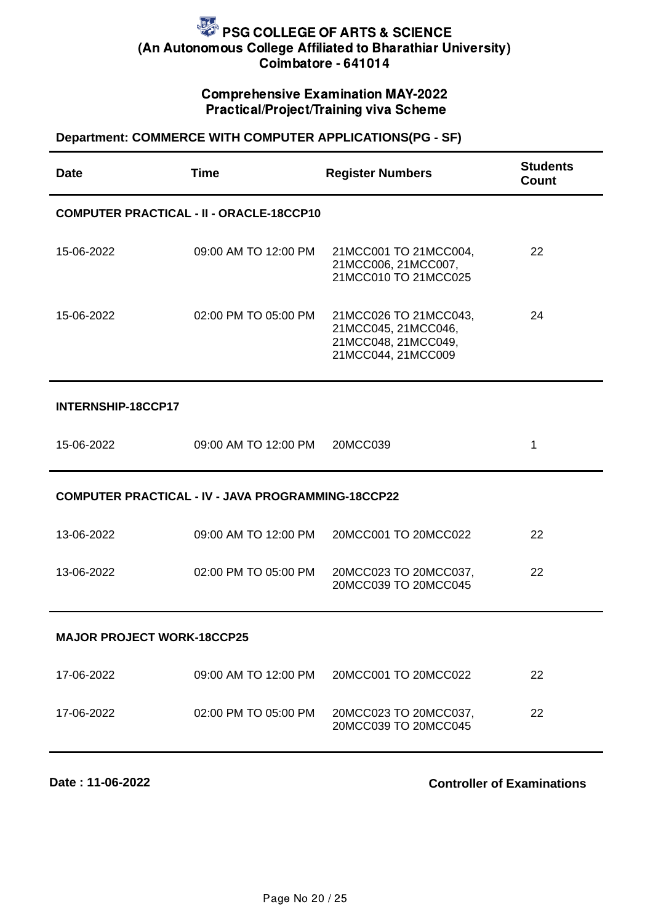## Comprehensive Examination MAY-2022 Practical/Project/Training viva Scheme

## **Department: COMMERCE WITH COMPUTER APPLICATIONS(PG - SF)**

| <b>Date</b>                       | <b>Time</b>                                               | <b>Register Numbers</b>                                                                   | <b>Students</b><br>Count |  |
|-----------------------------------|-----------------------------------------------------------|-------------------------------------------------------------------------------------------|--------------------------|--|
|                                   | <b>COMPUTER PRACTICAL - II - ORACLE-18CCP10</b>           |                                                                                           |                          |  |
| 15-06-2022                        | 09:00 AM TO 12:00 PM                                      | 21MCC001 TO 21MCC004,<br>21MCC006, 21MCC007,<br>21MCC010 TO 21MCC025                      | 22                       |  |
| 15-06-2022                        | 02:00 PM TO 05:00 PM                                      | 21MCC026 TO 21MCC043,<br>21MCC045, 21MCC046,<br>21MCC048, 21MCC049,<br>21MCC044, 21MCC009 | 24                       |  |
| INTERNSHIP-18CCP17                |                                                           |                                                                                           |                          |  |
| 15-06-2022                        | 09:00 AM TO 12:00 PM                                      | 20MCC039                                                                                  | $\mathbf{1}$             |  |
|                                   | <b>COMPUTER PRACTICAL - IV - JAVA PROGRAMMING-18CCP22</b> |                                                                                           |                          |  |
| 13-06-2022                        | 09:00 AM TO 12:00 PM                                      | 20MCC001 TO 20MCC022                                                                      | 22                       |  |
| 13-06-2022                        | 02:00 PM TO 05:00 PM                                      | 20MCC023 TO 20MCC037,<br>20MCC039 TO 20MCC045                                             | 22                       |  |
| <b>MAJOR PROJECT WORK-18CCP25</b> |                                                           |                                                                                           |                          |  |
| 17-06-2022                        | 09:00 AM TO 12:00 PM                                      | 20MCC001 TO 20MCC022                                                                      | 22                       |  |
| 17-06-2022                        | 02:00 PM TO 05:00 PM                                      | 20MCC023 TO 20MCC037,<br>20MCC039 TO 20MCC045                                             | 22                       |  |

**Date : 11-06-2022**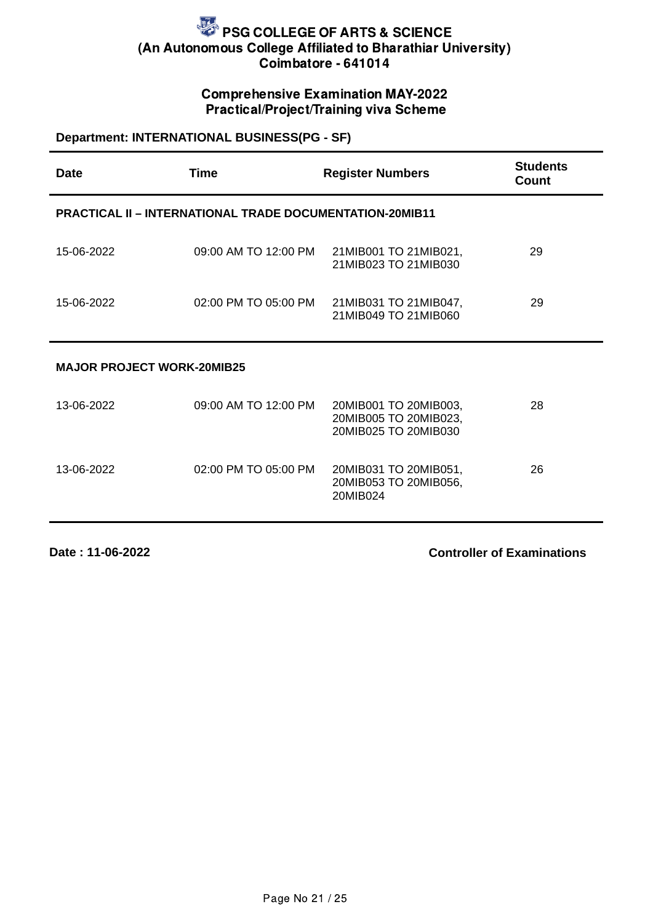## Comprehensive Examination MAY-2022 Practical/Project/Training viva Scheme

## **Department: INTERNATIONAL BUSINESS(PG - SF)**

| <b>Date</b>                       | <b>Time</b>                                                     | <b>Register Numbers</b>                                                | <b>Students</b><br>Count |
|-----------------------------------|-----------------------------------------------------------------|------------------------------------------------------------------------|--------------------------|
|                                   | <b>PRACTICAL II - INTERNATIONAL TRADE DOCUMENTATION-20MIB11</b> |                                                                        |                          |
| 15-06-2022                        | 09:00 AM TO 12:00 PM                                            | 21MIB001 TO 21MIB021,<br>21MIB023 TO 21MIB030                          | 29                       |
| 15-06-2022                        | 02:00 PM TO 05:00 PM                                            | 21MIB031 TO 21MIB047,<br>21MIB049 TO 21MIB060                          | 29                       |
| <b>MAJOR PROJECT WORK-20MIB25</b> |                                                                 |                                                                        |                          |
| 13-06-2022                        | 09:00 AM TO 12:00 PM                                            | 20MIB001 TO 20MIB003,<br>20MIB005 TO 20MIB023,<br>20MIB025 TO 20MIB030 | 28                       |
| 13-06-2022                        | 02:00 PM TO 05:00 PM                                            | 20MIB031 TO 20MIB051,<br>20MIB053 TO 20MIB056,<br>20MIB024             | 26                       |

**Date : 11-06-2022**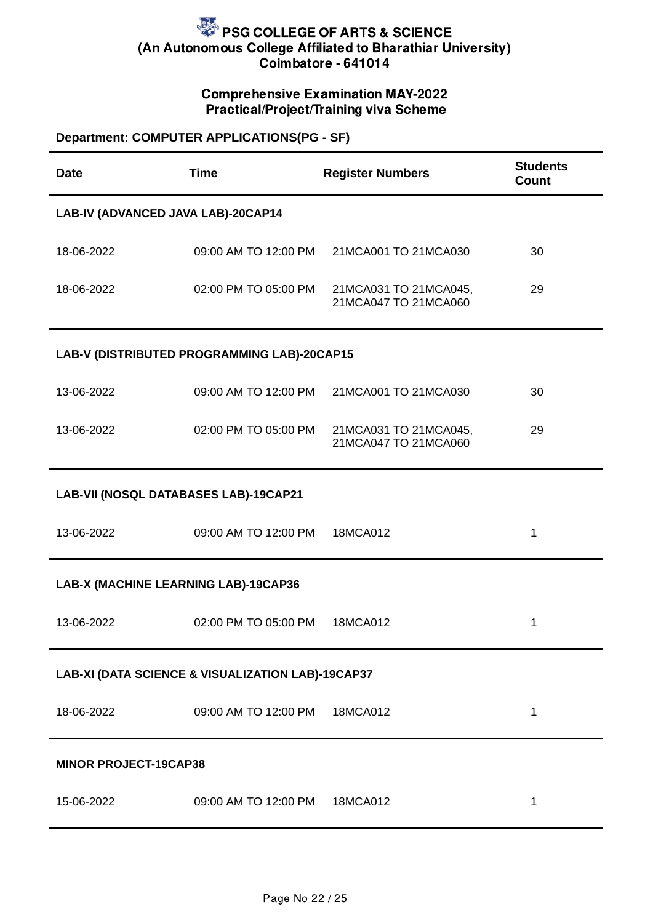## Comprehensive Examination MAY-2022 Practical/Project/Training viva Scheme

## **Department: COMPUTER APPLICATIONS(PG - SF)**

| Date                                              | <b>Time</b>                                 | <b>Register Numbers</b>                       | <b>Students</b><br>Count |  |  |
|---------------------------------------------------|---------------------------------------------|-----------------------------------------------|--------------------------|--|--|
|                                                   | LAB-IV (ADVANCED JAVA LAB)-20CAP14          |                                               |                          |  |  |
| 18-06-2022                                        | 09:00 AM TO 12:00 PM                        | 21MCA001 TO 21MCA030                          | 30                       |  |  |
| 18-06-2022                                        | 02:00 PM TO 05:00 PM                        | 21MCA031 TO 21MCA045,<br>21MCA047 TO 21MCA060 | 29                       |  |  |
|                                                   | LAB-V (DISTRIBUTED PROGRAMMING LAB)-20CAP15 |                                               |                          |  |  |
| 13-06-2022                                        | 09:00 AM TO 12:00 PM                        | 21MCA001 TO 21MCA030                          | 30                       |  |  |
| 13-06-2022                                        | 02:00 PM TO 05:00 PM                        | 21MCA031 TO 21MCA045,<br>21MCA047 TO 21MCA060 | 29                       |  |  |
| LAB-VII (NOSQL DATABASES LAB)-19CAP21             |                                             |                                               |                          |  |  |
| 13-06-2022                                        | 09:00 AM TO 12:00 PM                        | 18MCA012                                      | $\mathbf 1$              |  |  |
| LAB-X (MACHINE LEARNING LAB)-19CAP36              |                                             |                                               |                          |  |  |
| 13-06-2022                                        | 02:00 PM TO 05:00 PM                        | 18MCA012                                      | $\mathbf 1$              |  |  |
| LAB-XI (DATA SCIENCE & VISUALIZATION LAB)-19CAP37 |                                             |                                               |                          |  |  |
| 18-06-2022                                        | 09:00 AM TO 12:00 PM                        | 18MCA012                                      | $\mathbf{1}$             |  |  |
| <b>MINOR PROJECT-19CAP38</b>                      |                                             |                                               |                          |  |  |
| 15-06-2022                                        | 09:00 AM TO 12:00 PM                        | 18MCA012                                      | $\mathbf{1}$             |  |  |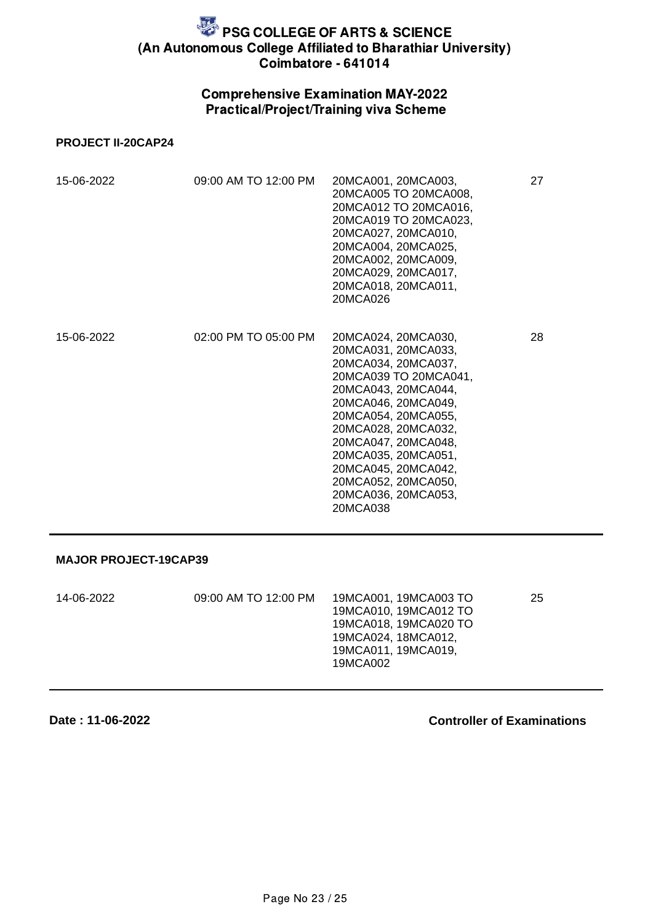## Comprehensive Examination MAY-2022 Practical/Project/Training viva Scheme

#### **PROJECT II-20CAP24**

| 15-06-2022 | 09:00 AM TO 12:00 PM | 20MCA001, 20MCA003,<br>20MCA005 TO 20MCA008,<br>20MCA012 TO 20MCA016,<br>20MCA019 TO 20MCA023,<br>20MCA027, 20MCA010,<br>20MCA004, 20MCA025,<br>20MCA002, 20MCA009,<br>20MCA029, 20MCA017,<br>20MCA018, 20MCA011,<br>20MCA026                                                                                         | 27 |
|------------|----------------------|-----------------------------------------------------------------------------------------------------------------------------------------------------------------------------------------------------------------------------------------------------------------------------------------------------------------------|----|
| 15-06-2022 | 02:00 PM TO 05:00 PM | 20MCA024, 20MCA030,<br>20MCA031, 20MCA033,<br>20MCA034, 20MCA037,<br>20MCA039 TO 20MCA041,<br>20MCA043, 20MCA044,<br>20MCA046, 20MCA049,<br>20MCA054, 20MCA055,<br>20MCA028, 20MCA032,<br>20MCA047, 20MCA048,<br>20MCA035, 20MCA051,<br>20MCA045, 20MCA042,<br>20MCA052, 20MCA050,<br>20MCA036, 20MCA053,<br>20MCA038 | 28 |

#### **MAJOR PROJECT-19CAP39**

| 14-06-2022 | 09:00 AM TO 12:00 PM | 19MCA001, 19MCA003 TO<br>19MCA010, 19MCA012 TO<br>19MCA018, 19MCA020 TO<br>19MCA024.18MCA012.<br>19MCA011, 19MCA019.<br>19MCA002 | 25 |
|------------|----------------------|----------------------------------------------------------------------------------------------------------------------------------|----|
|------------|----------------------|----------------------------------------------------------------------------------------------------------------------------------|----|

**Date : 11-06-2022**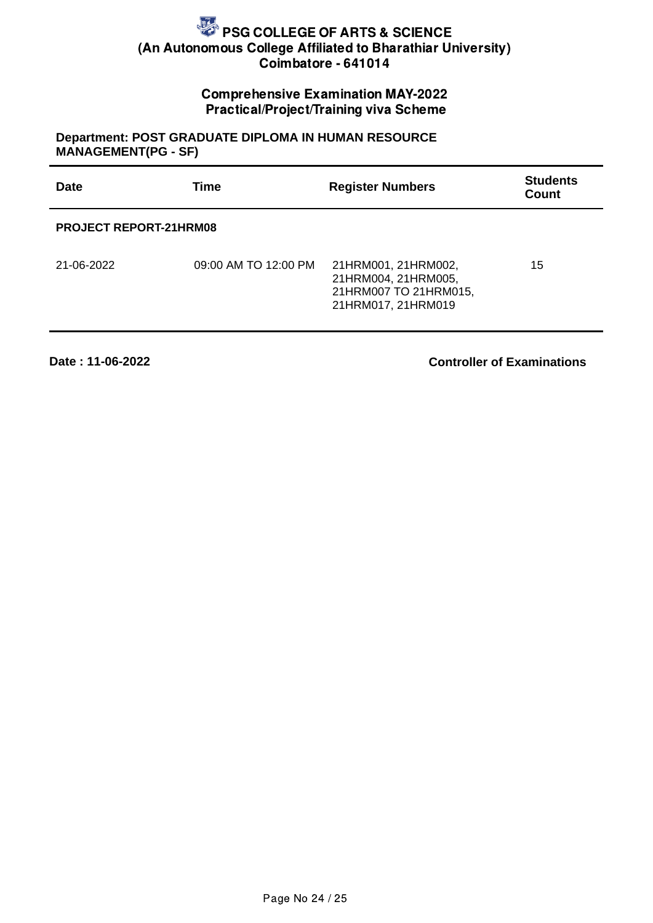## Comprehensive Examination MAY-2022 Practical/Project/Training viva Scheme

## **Department: POST GRADUATE DIPLOMA IN HUMAN RESOURCE MANAGEMENT(PG - SF)**

| <b>Date</b>                   | <b>Time</b>          | <b>Register Numbers</b>                                                                   | <b>Students</b><br><b>Count</b> |  |  |
|-------------------------------|----------------------|-------------------------------------------------------------------------------------------|---------------------------------|--|--|
| <b>PROJECT REPORT-21HRM08</b> |                      |                                                                                           |                                 |  |  |
| 21-06-2022                    | 09:00 AM TO 12:00 PM | 21HRM001, 21HRM002,<br>21HRM004, 21HRM005,<br>21HRM007 TO 21HRM015,<br>21HRM017, 21HRM019 | 15                              |  |  |

**Date : 11-06-2022**